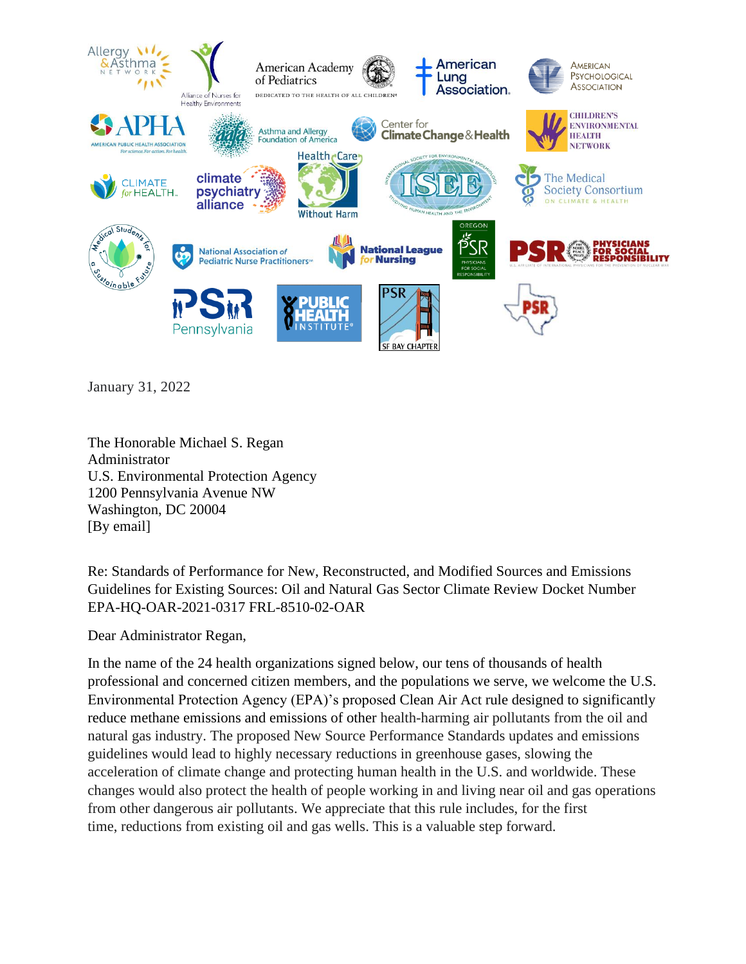

January 31, 2022

The Honorable Michael S. Regan Administrator U.S. Environmental Protection Agency 1200 Pennsylvania Avenue NW Washington, DC 20004 [By email]

Re: Standards of Performance for New, Reconstructed, and Modified Sources and Emissions Guidelines for Existing Sources: Oil and Natural Gas Sector Climate Review Docket Number EPA-HQ-OAR-2021-0317 FRL-8510-02-OAR

Dear Administrator Regan,

In the name of the 24 health organizations signed below, our tens of thousands of health professional and concerned citizen members, and the populations we serve, we welcome the U.S. Environmental Protection Agency (EPA)'s proposed Clean Air Act rule designed to significantly reduce methane emissions and emissions of other health-harming air pollutants from the oil and natural gas industry. The proposed New Source Performance Standards updates and emissions guidelines would lead to highly necessary reductions in greenhouse gases, slowing the acceleration of climate change and protecting human health in the U.S. and worldwide. These changes would also protect the health of people working in and living near oil and gas operations from other dangerous air pollutants. We appreciate that this rule includes, for the first time, reductions from existing oil and gas wells. This is a valuable step forward.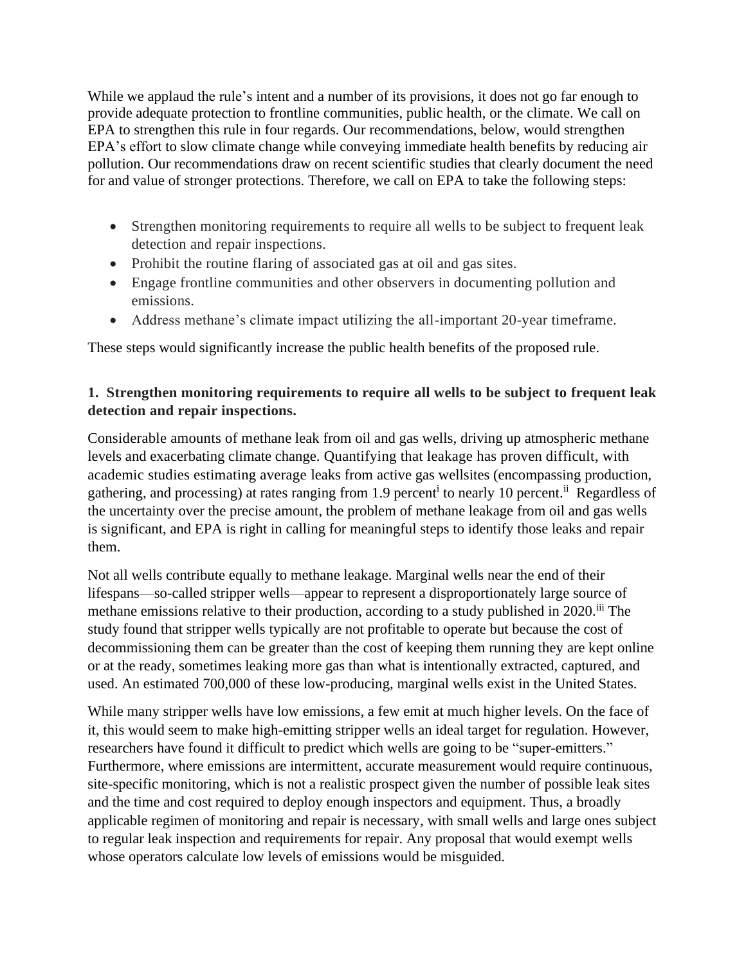While we applaud the rule's intent and a number of its provisions, it does not go far enough to provide adequate protection to frontline communities, public health, or the climate. We call on EPA to strengthen this rule in four regards. Our recommendations, below, would strengthen EPA's effort to slow climate change while conveying immediate health benefits by reducing air pollution. Our recommendations draw on recent scientific studies that clearly document the need for and value of stronger protections. Therefore, we call on EPA to take the following steps:

- Strengthen monitoring requirements to require all wells to be subject to frequent leak detection and repair inspections.
- Prohibit the routine flaring of associated gas at oil and gas sites.
- Engage frontline communities and other observers in documenting pollution and emissions.
- Address methane's climate impact utilizing the all-important 20-year timeframe.

These steps would significantly increase the public health benefits of the proposed rule.

# **1. Strengthen monitoring requirements to require all wells to be subject to frequent leak detection and repair inspections.**

Considerable amounts of methane leak from oil and gas wells, driving up atmospheric methane levels and exacerbating climate change. Quantifying that leakage has proven difficult, with academic studies estimating average leaks from active gas wellsites (encompassing production, gathering, and processing) at rates ranging from 1.9 percent<sup>i</sup> to nearly 10 percent.<sup>ii</sup> Regardless of the uncertainty over the precise amount, the problem of methane leakage from oil and gas wells is significant, and EPA is right in calling for meaningful steps to identify those leaks and repair them.

Not all wells contribute equally to methane leakage. Marginal wells near the end of their lifespans—so-called stripper wells—appear to represent a disproportionately large source of methane emissions relative to their production, according to a study published in 2020.<sup>iii</sup> The study found that stripper wells typically are not profitable to operate but because the cost of decommissioning them can be greater than the cost of keeping them running they are kept online or at the ready, sometimes leaking more gas than what is intentionally extracted, captured, and used. An estimated 700,000 of these low-producing, marginal wells exist in the United States.

While many stripper wells have low emissions, a few emit at much higher levels. On the face of it, this would seem to make high-emitting stripper wells an ideal target for regulation. However, researchers have found it difficult to predict which wells are going to be "super-emitters." Furthermore, where emissions are intermittent, accurate measurement would require continuous, site-specific monitoring, which is not a realistic prospect given the number of possible leak sites and the time and cost required to deploy enough inspectors and equipment. Thus, a broadly applicable regimen of monitoring and repair is necessary, with small wells and large ones subject to regular leak inspection and requirements for repair. Any proposal that would exempt wells whose operators calculate low levels of emissions would be misguided.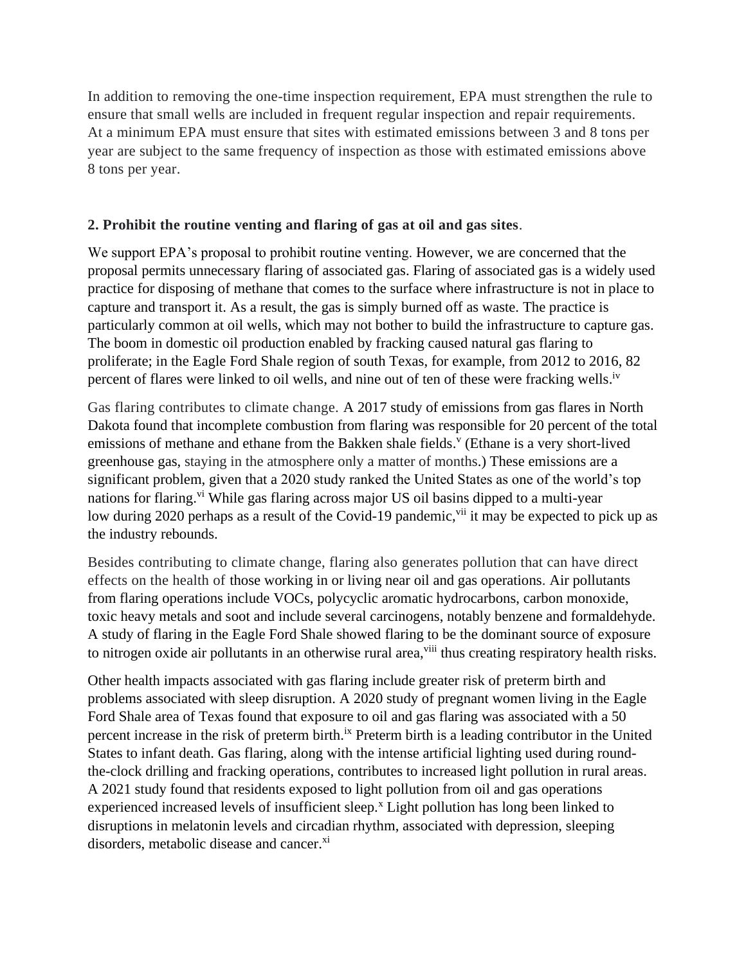In addition to removing the one-time inspection requirement, EPA must strengthen the rule to ensure that small wells are included in frequent regular inspection and repair requirements. At a minimum EPA must ensure that sites with estimated emissions between 3 and 8 tons per year are subject to the same frequency of inspection as those with estimated emissions above 8 tons per year.

# **2. Prohibit the routine venting and flaring of gas at oil and gas sites**.

We support EPA's proposal to prohibit routine venting. However, we are concerned that the proposal permits unnecessary flaring of associated gas. Flaring of associated gas is a widely used practice for disposing of methane that comes to the surface where infrastructure is not in place to capture and transport it. As a result, the gas is simply burned off as waste. The practice is particularly common at oil wells, which may not bother to build the infrastructure to capture gas. The boom in domestic oil production enabled by fracking caused natural gas flaring to proliferate; in the Eagle Ford Shale region of south Texas, for example, from 2012 to 2016, 82 percent of flares were linked to oil wells, and nine out of ten of these were fracking wells.<sup>iv</sup>

Gas flaring contributes to climate change. A 2017 study of emissions from gas flares in North Dakota found that incomplete combustion from flaring was responsible for 20 percent of the total emissions of methane and ethane from the Bakken shale fields.<sup>v</sup> (Ethane is a very short-lived greenhouse gas, staying in the atmosphere only a matter of months.) These emissions are a significant problem, given that a 2020 study ranked the United States as one of the world's top nations for flaring.<sup>vi</sup> While gas flaring across major US oil basins dipped to a multi-year low during 2020 perhaps as a result of the Covid-19 pandemic,<sup>vii</sup> it may be expected to pick up as the industry rebounds.

Besides contributing to climate change, flaring also generates pollution that can have direct effects on the health of those working in or living near oil and gas operations. Air pollutants from flaring operations include VOCs, polycyclic aromatic hydrocarbons, carbon monoxide, toxic heavy metals and soot and include several carcinogens, notably benzene and formaldehyde. A study of flaring in the Eagle Ford Shale showed flaring to be the dominant source of exposure to nitrogen oxide air pollutants in an otherwise rural area, <sup>viii</sup> thus creating respiratory health risks.

Other health impacts associated with gas flaring include greater risk of preterm birth and problems associated with sleep disruption. A 2020 study of pregnant women living in the Eagle Ford Shale area of Texas found that exposure to oil and gas flaring was associated with a 50 percent increase in the risk of preterm birth.<sup>ix</sup> Preterm birth is a leading contributor in the United States to infant death. Gas flaring, along with the intense artificial lighting used during roundthe-clock drilling and fracking operations, contributes to increased light pollution in rural areas. A 2021 study found that residents exposed to light pollution from oil and gas operations experienced increased levels of insufficient sleep.<sup>x</sup> Light pollution has long been linked to disruptions in melatonin levels and circadian rhythm, associated with depression, sleeping disorders, metabolic disease and cancer.<sup>xi</sup>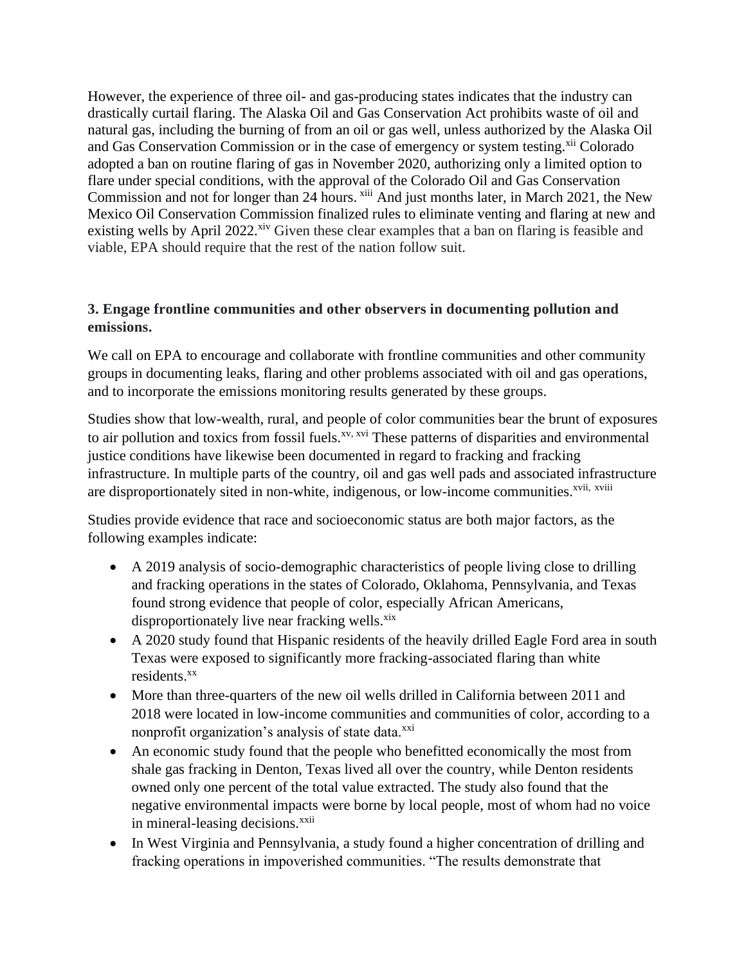However, the experience of three oil- and gas-producing states indicates that the industry can drastically curtail flaring. The Alaska Oil and Gas Conservation Act prohibits waste of oil and natural gas, including the burning of from an oil or gas well, unless authorized by the Alaska Oil and Gas Conservation Commission or in the case of emergency or system testing.<sup>xii</sup> Colorado adopted a ban on routine flaring of gas in November 2020, authorizing only a limited option to flare under special conditions, with the approval of the Colorado Oil and Gas Conservation Commission and not for longer than 24 hours. <sup>xiii</sup> And just months later, in March 2021, the New Mexico Oil Conservation Commission finalized rules to eliminate venting and flaring at new and existing wells by April 2022.<sup>xiv</sup> Given these clear examples that a ban on flaring is feasible and viable, EPA should require that the rest of the nation follow suit.

### **3. Engage frontline communities and other observers in documenting pollution and emissions.**

We call on EPA to encourage and collaborate with frontline communities and other community groups in documenting leaks, flaring and other problems associated with oil and gas operations, and to incorporate the emissions monitoring results generated by these groups.

Studies show that low-wealth, rural, and people of color communities bear the brunt of exposures to air pollution and toxics from fossil fuels.<sup>xv, xvi</sup> These patterns of disparities and environmental justice conditions have likewise been documented in regard to fracking and fracking infrastructure. In multiple parts of the country, oil and gas well pads and associated infrastructure are disproportionately sited in non-white, indigenous, or low-income communities.<sup>xvii, xviii</sup>

Studies provide evidence that race and socioeconomic status are both major factors, as the following examples indicate:

- A 2019 analysis of socio-demographic characteristics of people living close to drilling and fracking operations in the states of Colorado, Oklahoma, Pennsylvania, and Texas found strong evidence that people of color, especially African Americans, disproportionately live near fracking wells.<sup>xix</sup>
- A 2020 study found that Hispanic residents of the heavily drilled Eagle Ford area in south Texas were exposed to significantly more fracking-associated flaring than white residents.<sup>xx</sup>
- More than three-quarters of the new oil wells drilled in California between 2011 and 2018 were located in low-income communities and communities of color, according to a nonprofit organization's analysis of state data.<sup>xxi</sup>
- An economic study found that the people who benefitted economically the most from shale gas fracking in Denton, Texas lived all over the country, while Denton residents owned only one percent of the total value extracted. The study also found that the negative environmental impacts were borne by local people, most of whom had no voice in mineral-leasing decisions.<sup>xxii</sup>
- In West Virginia and Pennsylvania, a study found a higher concentration of drilling and fracking operations in impoverished communities. "The results demonstrate that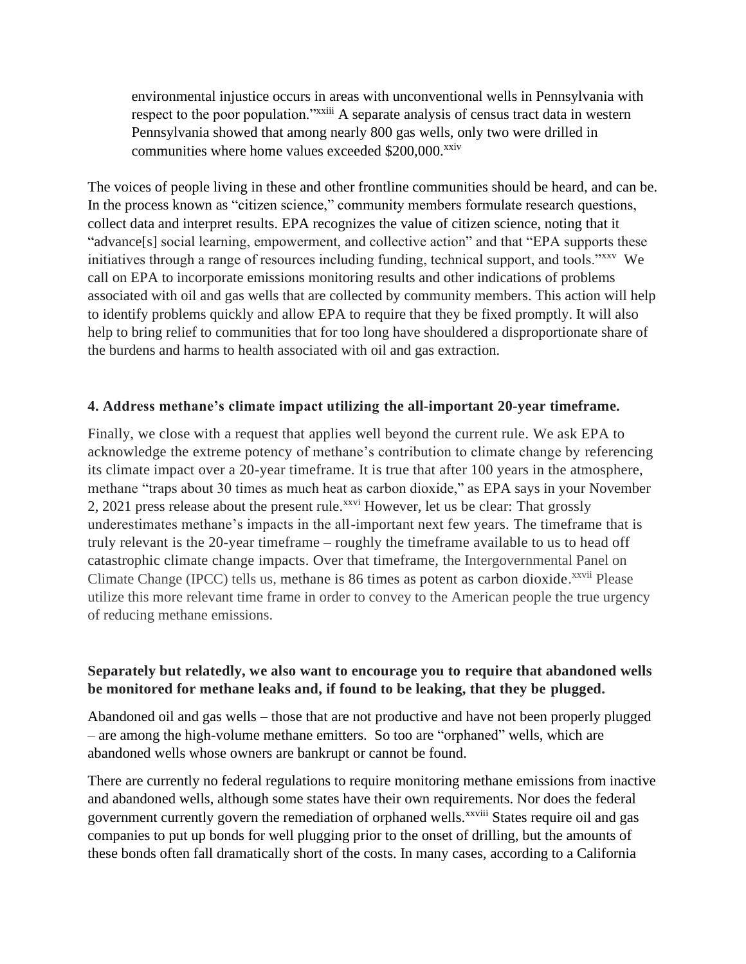environmental injustice occurs in areas with unconventional wells in Pennsylvania with respect to the poor population."<sup>xxiii</sup> A separate analysis of census tract data in western Pennsylvania showed that among nearly 800 gas wells, only two were drilled in communities where home values exceeded  $$200,000$ <sup>xxiv</sup>

The voices of people living in these and other frontline communities should be heard, and can be. In the process known as "citizen science," community members formulate research questions, collect data and interpret results. EPA recognizes the value of citizen science, noting that it "advance[s] social learning, empowerment, and collective action" and that "EPA supports these initiatives through a range of resources including funding, technical support, and tools."xxv We call on EPA to incorporate emissions monitoring results and other indications of problems associated with oil and gas wells that are collected by community members. This action will help to identify problems quickly and allow EPA to require that they be fixed promptly. It will also help to bring relief to communities that for too long have shouldered a disproportionate share of the burdens and harms to health associated with oil and gas extraction.

#### **4. Address methane's climate impact utilizing the all-important 20-year timeframe.**

Finally, we close with a request that applies well beyond the current rule. We ask EPA to acknowledge the extreme potency of methane's contribution to climate change by referencing its climate impact over a 20-year timeframe. It is true that after 100 years in the atmosphere, methane "traps about 30 times as much heat as carbon dioxide," as EPA says in your November 2, 2021 press release about the present rule.<sup>xxvi</sup> However, let us be clear: That grossly underestimates methane's impacts in the all-important next few years. The timeframe that is truly relevant is the 20-year timeframe – roughly the timeframe available to us to head off catastrophic climate change impacts. Over that timeframe, the Intergovernmental Panel on Climate Change (IPCC) tells us, methane is 86 times as potent as carbon dioxide.<sup>xxvii</sup> Please utilize this more relevant time frame in order to convey to the American people the true urgency of reducing methane emissions.

### **Separately but relatedly, we also want to encourage you to require that abandoned wells be monitored for methane leaks and, if found to be leaking, that they be plugged.**

Abandoned oil and gas wells – those that are not productive and have not been properly plugged – are among the high-volume methane emitters. So too are "orphaned" wells, which are abandoned wells whose owners are bankrupt or cannot be found.

There are currently no federal regulations to require monitoring methane emissions from inactive and abandoned wells, although some states have their own requirements. Nor does the federal government currently govern the remediation of orphaned wells.<sup>xxviii</sup> States require oil and gas companies to put up bonds for well plugging prior to the onset of drilling, but the amounts of these bonds often fall dramatically short of the costs. In many cases, according to a California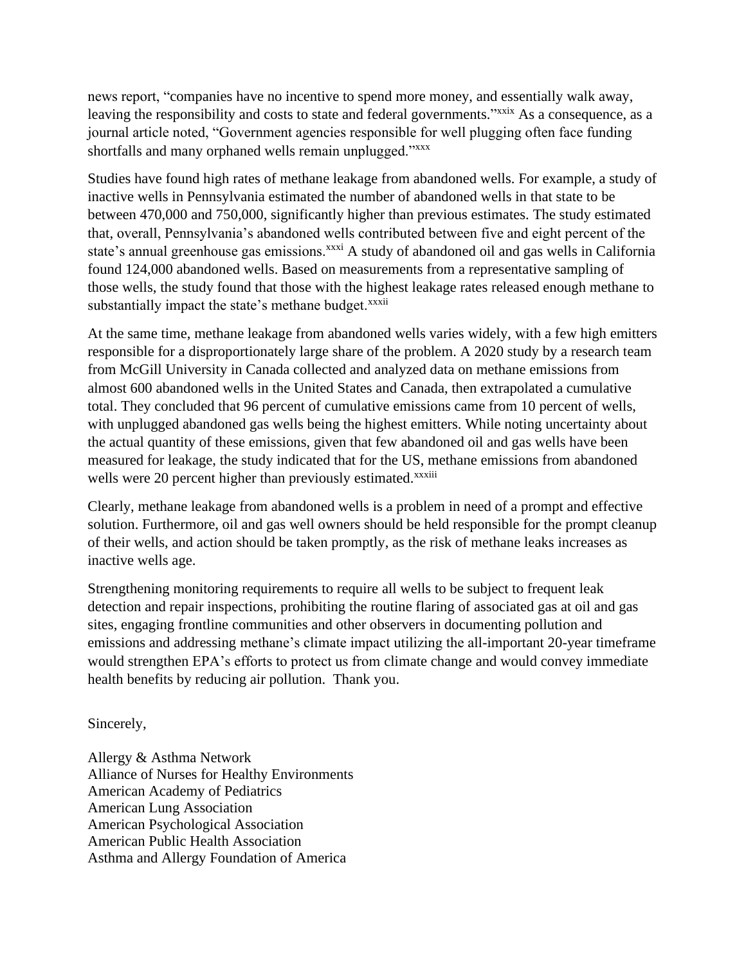news report, "companies have no incentive to spend more money, and essentially walk away, leaving the responsibility and costs to state and federal governments."<sup>xxxix</sup> As a consequence, as a journal article noted, "Government agencies responsible for well plugging often face funding shortfalls and many orphaned wells remain unplugged."<sup>xxxx</sup>

Studies have found high rates of methane leakage from abandoned wells. For example, a study of inactive wells in Pennsylvania estimated the number of abandoned wells in that state to be between 470,000 and 750,000, significantly higher than previous estimates. The study estimated that, overall, Pennsylvania's abandoned wells contributed between five and eight percent of the state's annual greenhouse gas emissions.<sup>xxxi</sup> A study of abandoned oil and gas wells in California found 124,000 abandoned wells. Based on measurements from a representative sampling of those wells, the study found that those with the highest leakage rates released enough methane to substantially impact the state's methane budget.<sup>xxxii</sup>

At the same time, methane leakage from abandoned wells varies widely, with a few high emitters responsible for a disproportionately large share of the problem. A 2020 study by a research team from McGill University in Canada collected and analyzed data on methane emissions from almost 600 abandoned wells in the United States and Canada, then extrapolated a cumulative total. They concluded that 96 percent of cumulative emissions came from 10 percent of wells, with unplugged abandoned gas wells being the highest emitters. While noting uncertainty about the actual quantity of these emissions, given that few abandoned oil and gas wells have been measured for leakage, the study indicated that for the US, methane emissions from abandoned wells were 20 percent higher than previously estimated.<sup>xxxiii</sup>

Clearly, methane leakage from abandoned wells is a problem in need of a prompt and effective solution. Furthermore, oil and gas well owners should be held responsible for the prompt cleanup of their wells, and action should be taken promptly, as the risk of methane leaks increases as inactive wells age.

Strengthening monitoring requirements to require all wells to be subject to frequent leak detection and repair inspections, prohibiting the routine flaring of associated gas at oil and gas sites, engaging frontline communities and other observers in documenting pollution and emissions and addressing methane's climate impact utilizing the all-important 20-year timeframe would strengthen EPA's efforts to protect us from climate change and would convey immediate health benefits by reducing air pollution. Thank you.

Sincerely,

Allergy & Asthma Network Alliance of Nurses for Healthy Environments American Academy of Pediatrics American Lung Association American Psychological Association American Public Health Association Asthma and Allergy Foundation of America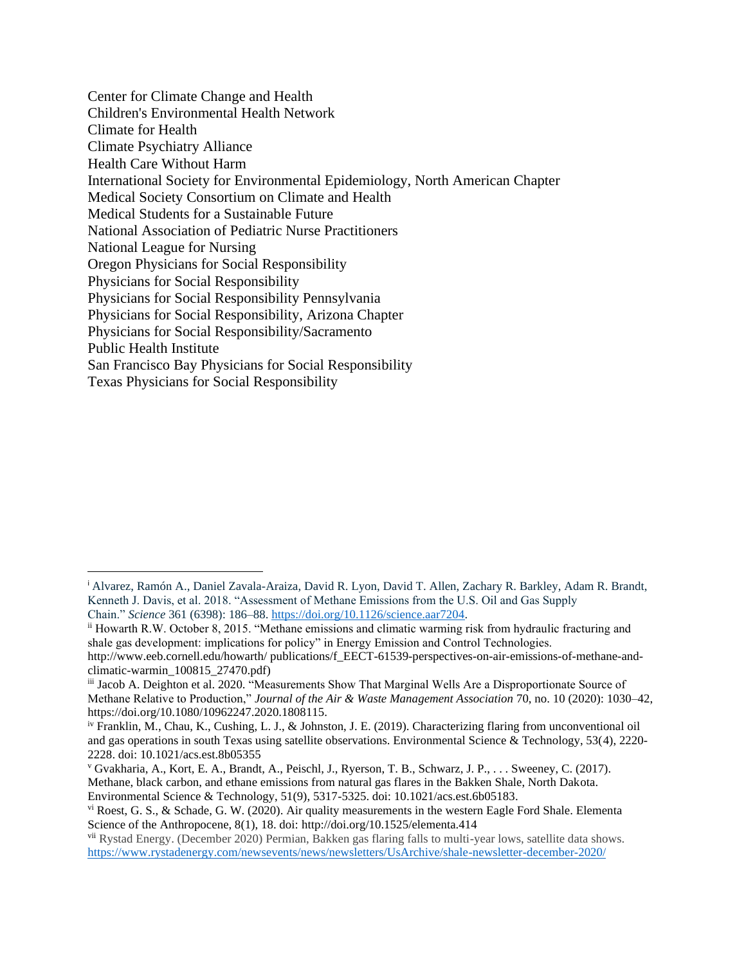Center for Climate Change and Health Children's Environmental Health Network Climate for Health Climate Psychiatry Alliance Health Care Without Harm International Society for Environmental Epidemiology, North American Chapter Medical Society Consortium on Climate and Health Medical Students for a Sustainable Future National Association of Pediatric Nurse Practitioners National League for Nursing Oregon Physicians for Social Responsibility Physicians for Social Responsibility Physicians for Social Responsibility Pennsylvania Physicians for Social Responsibility, Arizona Chapter Physicians for Social Responsibility/Sacramento Public Health Institute San Francisco Bay Physicians for Social Responsibility Texas Physicians for Social Responsibility

<sup>i</sup> Alvarez, Ramón A., Daniel Zavala-Araiza, David R. Lyon, David T. Allen, Zachary R. Barkley, Adam R. Brandt, Kenneth J. Davis, et al. 2018. "Assessment of Methane Emissions from the U.S. Oil and Gas Supply Chain." *Science* 361 (6398): 186–88. [https://doi.org/10.1126/science.aar7204.](https://doi.org/10.1126/science.aar7204)

ii Howarth R.W. October 8, 2015. "Methane emissions and climatic warming risk from hydraulic fracturing and shale gas development: implications for policy" in Energy Emission and Control Technologies.

http://www.eeb.cornell.edu/howarth/ publications/f\_EECT-61539-perspectives-on-air-emissions-of-methane-andclimatic-warmin\_100815\_27470.pdf)

iii Jacob A. Deighton et al. 2020. "Measurements Show That Marginal Wells Are a Disproportionate Source of Methane Relative to Production," *Journal of the Air & Waste Management Association* 70, no. 10 (2020): 1030–42, https://doi.org/10.1080/10962247.2020.1808115.

iv Franklin, M., Chau, K., Cushing, L. J., & Johnston, J. E. (2019). Characterizing flaring from unconventional oil and gas operations in south Texas using satellite observations. Environmental Science & Technology, 53(4), 2220- 2228. doi: 10.1021/acs.est.8b05355

<sup>v</sup> Gvakharia, A., Kort, E. A., Brandt, A., Peischl, J., Ryerson, T. B., Schwarz, J. P., . . . Sweeney, C. (2017). Methane, black carbon, and ethane emissions from natural gas flares in the Bakken Shale, North Dakota. Environmental Science & Technology, 51(9), 5317-5325. doi: 10.1021/acs.est.6b05183.

 $v_i$  Roest, G. S., & Schade, G. W. (2020). Air quality measurements in the western Eagle Ford Shale. Elementa Science of the Anthropocene, 8(1), 18. doi: http://doi.org/10.1525/elementa.414

vii Rystad Energy. (December 2020) Permian, Bakken gas flaring falls to multi-year lows, satellite data shows. <https://www.rystadenergy.com/newsevents/news/newsletters/UsArchive/shale-newsletter-december-2020/>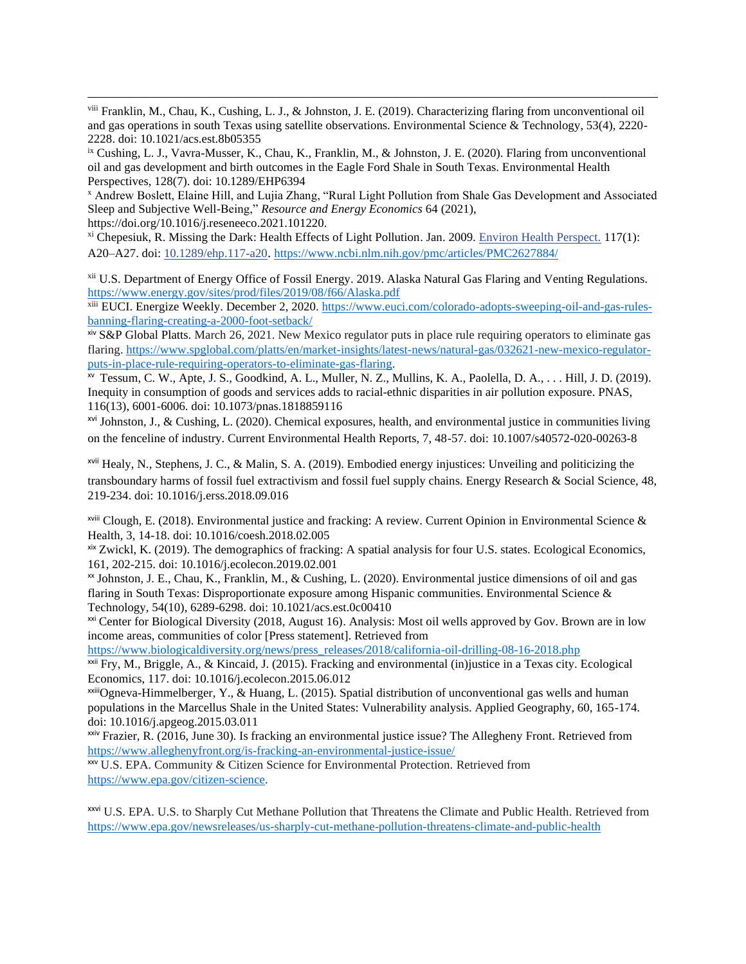viii Franklin, M., Chau, K., Cushing, L. J., & Johnston, J. E. (2019). Characterizing flaring from unconventional oil and gas operations in south Texas using satellite observations. Environmental Science & Technology, 53(4), 2220- 2228. doi: 10.1021/acs.est.8b05355

ix Cushing, L. J., Vavra-Musser, K., Chau, K., Franklin, M., & Johnston, J. E. (2020). Flaring from unconventional oil and gas development and birth outcomes in the Eagle Ford Shale in South Texas. Environmental Health Perspectives, 128(7). doi: 10.1289/EHP6394

<sup>x</sup> Andrew Boslett, Elaine Hill, and Lujia Zhang, "Rural Light Pollution from Shale Gas Development and Associated Sleep and Subjective Well-Being," *Resource and Energy Economics* 64 (2021), https://doi.org/10.1016/j.reseneeco.2021.101220.

 $x_i$ <sup>xi</sup> Chepesiuk, R. Missing the Dark: Health Effects of Light Pollution. Jan. 2009. [Environ Health Perspect.](https://www.ncbi.nlm.nih.gov/pmc/articles/PMC2627884/) 117(1): A20–A27. doi: [10.1289/ehp.117-a20](https://dx.doi.org/10.1289%2Fehp.117-a20). <https://www.ncbi.nlm.nih.gov/pmc/articles/PMC2627884/>

xii U.S. Department of Energy Office of Fossil Energy. 2019. Alaska Natural Gas Flaring and Venting Regulations. <https://www.energy.gov/sites/prod/files/2019/08/f66/Alaska.pdf>

xiii EUCI. Energize Weekly. December 2, 2020. [https://www.euci.com/colorado-adopts-sweeping-oil-and-gas-rules](https://www.euci.com/colorado-adopts-sweeping-oil-and-gas-rules-banning-flaring-creating-a-2000-foot-setback/)[banning-flaring-creating-a-2000-foot-setback/](https://www.euci.com/colorado-adopts-sweeping-oil-and-gas-rules-banning-flaring-creating-a-2000-foot-setback/)

xiv S&P Global Platts. March 26, 2021. New Mexico regulator puts in place rule requiring operators to eliminate gas flaring[. https://www.spglobal.com/platts/en/market-insights/latest-news/natural-gas/032621-new-mexico-regulator](https://www.spglobal.com/platts/en/market-insights/latest-news/natural-gas/032621-new-mexico-regulator-puts-in-place-rule-requiring-operators-to-eliminate-gas-flaring)[puts-in-place-rule-requiring-operators-to-eliminate-gas-flaring.](https://www.spglobal.com/platts/en/market-insights/latest-news/natural-gas/032621-new-mexico-regulator-puts-in-place-rule-requiring-operators-to-eliminate-gas-flaring)

xv Tessum, C. W., Apte, J. S., Goodkind, A. L., Muller, N. Z., Mullins, K. A., Paolella, D. A., . . . Hill, J. D. (2019). Inequity in consumption of goods and services adds to racial-ethnic disparities in air pollution exposure. PNAS, 116(13), 6001-6006. doi: 10.1073/pnas.1818859116

 $x^{1}$  Johnston, J., & Cushing, L. (2020). Chemical exposures, health, and environmental justice in communities living on the fenceline of industry. Current Environmental Health Reports, 7, 48-57. doi: 10.1007/s40572-020-00263-8

 $x^{vii}$  Healy, N., Stephens, J. C., & Malin, S. A. (2019). Embodied energy injustices: Unveiling and politicizing the transboundary harms of fossil fuel extractivism and fossil fuel supply chains. Energy Research & Social Science, 48, 219-234. doi: 10.1016/j.erss.2018.09.016

 $x^{\text{will}}$  Clough, E. (2018). Environmental justice and fracking: A review. Current Opinion in Environmental Science & Health, 3, 14-18. doi: 10.1016/coesh.2018.02.005

xix Zwickl, K. (2019). The demographics of fracking: A spatial analysis for four U.S. states. Ecological Economics, 161, 202-215. doi: 10.1016/j.ecolecon.2019.02.001

xx Johnston, J. E., Chau, K., Franklin, M., & Cushing, L. (2020). Environmental justice dimensions of oil and gas flaring in South Texas: Disproportionate exposure among Hispanic communities. Environmental Science & Technology, 54(10), 6289-6298. doi: 10.1021/acs.est.0c00410

<sup>xxi</sup> Center for Biological Diversity (2018, August 16). Analysis: Most oil wells approved by Gov. Brown are in low income areas, communities of color [Press statement]. Retrieved from

[https://www.biologicaldiversity.org/news/press\\_releases/2018/california-oil-drilling-08-16-2018.php](https://www.biologicaldiversity.org/news/press_releases/2018/california-oil-drilling-08-16-2018.php)

 $x$ <sup>xxii</sup> Fry, M., Briggle, A., & Kincaid, J. (2015). Fracking and environmental (in) justice in a Texas city. Ecological Economics, 117. doi: 10.1016/j.ecolecon.2015.06.012

 $x$ <sup>xxiii</sup>Ogneva-Himmelberger, Y., & Huang, L. (2015). Spatial distribution of unconventional gas wells and human populations in the Marcellus Shale in the United States: Vulnerability analysis. Applied Geography, 60, 165-174. doi: 10.1016/j.apgeog.2015.03.011

 $x<sub>ixi</sub>$  Frazier, R. (2016, June 30). Is fracking an environmental justice issue? The Allegheny Front. Retrieved from <https://www.alleghenyfront.org/is-fracking-an-environmental-justice-issue/>

xxv U.S. EPA. Community & Citizen Science for Environmental Protection. Retrieved from [https://www.epa.gov/citizen-science.](https://www.epa.gov/citizen-science)

xxvi U.S. EPA. U.S. to Sharply Cut Methane Pollution that Threatens the Climate and Public Health. Retrieved from <https://www.epa.gov/newsreleases/us-sharply-cut-methane-pollution-threatens-climate-and-public-health>